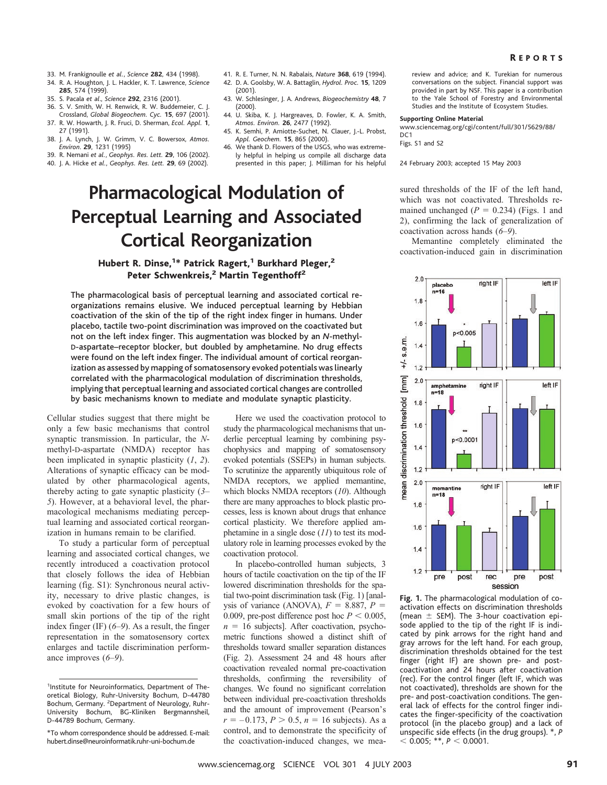- 33. M. Frankignoulle *et al.*, *Science* **282**, 434 (1998).
- 34. R. A. Houghton, J. L. Hackler, K. T. Lawrence, *Science* **285**, 574 (1999).
- 35. S. Pacala *et al*., *Science* **292**, 2316 (2001).
- 36. S. V. Smith, W. H. Renwick, R. W. Buddemeier, C. J. Crossland, *Global Biogeochem. Cyc.* **15**, 697 (2001). 37. R. W. Howarth, J. R. Fruci, D. Sherman, *Ecol. Appl.* **1**,
- 27 (1991). 38. J. A. Lynch, J. W. Grimm, V. C. Bowersox, *Atmos.*
- *Environ*. **29**, 1231 (1995)
- 39. R. Nemani *et al.*, *Geophys. Res. Lett.* **29**, 106 (2002).
- 40. J. A. Hicke *et al.*, *Geophys. Res. Lett.* **29**, 69 (2002).
- 41. R. E. Turner, N. N. Rabalais, *Nature* **368**, 619 (1994).
- 42. D. A. Goolsby, W. A. Battaglin, *Hydrol. Proc.* **15**, 1209 (2001).
- 43. W. Schlesinger, J. A. Andrews, *Biogeochemistry* **48**, 7 (2000).
- 44. U. Skiba, K. J. Hargreaves, D. Fowler, K. A. Smith, *Atmos. Environ.* **26**, 2477 (1992).
- 45. K. Semhi, P. Amiotte-Suchet, N. Clauer, J.-L. Probst, *Appl. Geochem.* **15**, 865 (2000).
- 46. We thank D. Flowers of the USGS, who was extremely helpful in helping us compile all discharge data presented in this paper; J. Milliman for his helpful

# **Pharmacological Modulation of Perceptual Learning and Associated Cortical Reorganization**

## Hubert R. Dinse,<sup>1\*</sup> Patrick Ragert,<sup>1</sup> Burkhard Pleger,<sup>2</sup> Peter Schwenkreis,<sup>2</sup> Martin Tegenthoff<sup>2</sup>

The pharmacological basis of perceptual learning and associated cortical reorganizations remains elusive. We induced perceptual learning by Hebbian coactivation of the skin of the tip of the right index finger in humans. Under placebo, tactile two-point discrimination was improved on the coactivated but not on the left index finger. This augmentation was blocked by an *N*-methyl-D-aspartate–receptor blocker, but doubled by amphetamine. No drug effects were found on the left index finger. The individual amount of cortical reorganization as assessed by mapping of somatosensory evoked potentials was linearly correlated with the pharmacological modulation of discrimination thresholds, implying that perceptual learning and associated cortical changes are controlled by basic mechanisms known to mediate and modulate synaptic plasticity.

Cellular studies suggest that there might be only a few basic mechanisms that control synaptic transmission. In particular, the *N*methyl-D-aspartate (NMDA) receptor has been implicated in synaptic plasticity (*1*, *2*). Alterations of synaptic efficacy can be modulated by other pharmacological agents, thereby acting to gate synaptic plasticity (*3*– *5*). However, at a behavioral level, the pharmacological mechanisms mediating perceptual learning and associated cortical reorganization in humans remain to be clarified.

To study a particular form of perceptual learning and associated cortical changes, we recently introduced a coactivation protocol that closely follows the idea of Hebbian learning (fig. S1): Synchronous neural activity, necessary to drive plastic changes, is evoked by coactivation for a few hours of small skin portions of the tip of the right index finger (IF) (*6*–*9*). As a result, the finger representation in the somatosensory cortex enlarges and tactile discrimination performance improves (*6*–*9*).

Here we used the coactivation protocol to study the pharmacological mechanisms that underlie perceptual learning by combining psychophysics and mapping of somatosensory evoked potentials (SSEPs) in human subjects. To scrutinize the apparently ubiquitous role of NMDA receptors, we applied memantine, which blocks NMDA receptors (*10*). Although there are many approaches to block plastic processes, less is known about drugs that enhance cortical plasticity. We therefore applied amphetamine in a single dose (*11*) to test its modulatory role in learning processes evoked by the coactivation protocol.

In placebo-controlled human subjects, 3 hours of tactile coactivation on the tip of the IF lowered discrimination thresholds for the spatial two-point discrimination task (Fig. 1) [analysis of variance (ANOVA),  $F = 8.887$ ,  $P =$ 0.009, pre-post difference post hoc  $P < 0.005$ ,  $n = 16$  subjects]. After coactivation, psychometric functions showed a distinct shift of thresholds toward smaller separation distances (Fig. 2). Assessment 24 and 48 hours after coactivation revealed normal pre-coactivation thresholds, confirming the reversibility of changes. We found no significant correlation between individual pre-coactivation thresholds and the amount of improvement (Pearson's  $r = -0.173$ ,  $P > 0.5$ ,  $n = 16$  subjects). As a control, and to demonstrate the specificity of the coactivation-induced changes, we meareviewand advice; and K. Turekian for numerous conversations on the subject. Financial support was provided in part by NSF. This paper is a contribution to the Yale School of Forestry and Environmental Studies and the Institute of Ecosystem Studies.

### **Supporting Online Material**

www.sciencemag.org/cgi/content/full/301/5629/88/ D<sub>C</sub>1 Figs. S1 and S2

24 February 2003; accepted 15 May 2003

sured thresholds of the IF of the left hand, which was not coactivated. Thresholds remained unchanged  $(P = 0.234)$  (Figs. 1 and 2), confirming the lack of generalization of coactivation across hands (*6*–*9*).

Memantine completely eliminated the coactivation-induced gain in discrimination



**Fig. 1.** The pharmacological modulation of coactivation effects on discrimination thresholds (mean  $\pm$  SEM). The 3-hour coactivation episode applied to the tip of the right IF is indicated by pink arrows for the right hand and gray arrows for the left hand. For each group, discrimination thresholds obtained for the test finger (right IF) are shown pre- and postcoactivation and 24 hours after coactivation (rec). For the control finger (left IF, which was not coactivated), thresholds are shown for the pre- and post-coactivation conditions. The general lack of effects for the control finger indicates the finger-specificity of the coactivation protocol (in the placebo group) and a lack of unspecific side effects (in the drug groups). \*, *P*  $<$  0.005; \*\*,  $P<$  0.0001.

<sup>&</sup>lt;sup>1</sup>Institute for Neuroinformatics, Department of Theoretical Biology, Ruhr-University Bochum, D-44780 Bochum, Germany. <sup>2</sup>Department of Neurology, Ruhr-University Bochum, BG-Kliniken Bergmannsheil, D-44789 Bochum, Germany.

<sup>\*</sup>To whom correspondence should be addressed. E-mail: hubert.dinse@neuroinformatik.ruhr-uni-bochum.de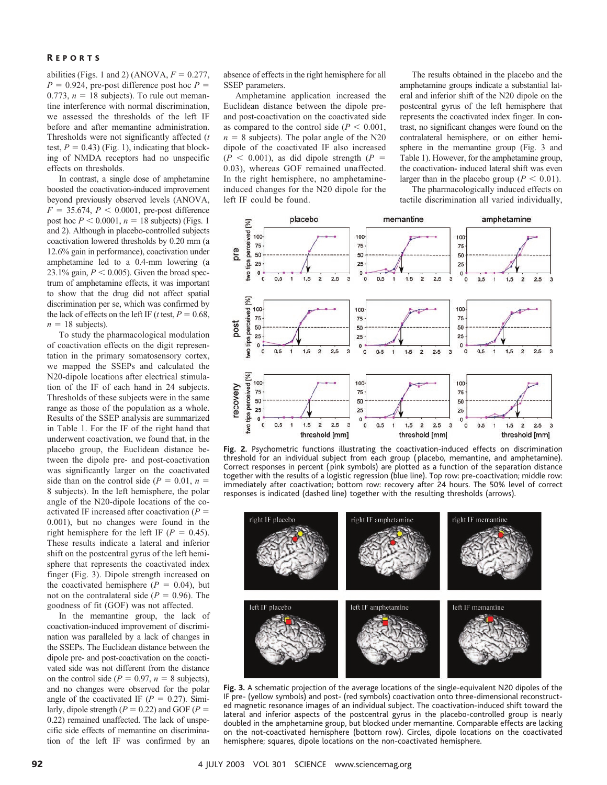### R EPORTS

abilities (Figs. 1 and 2) (ANOVA,  $F = 0.277$ ,  $P = 0.924$ , pre-post difference post hoc  $P =$ 0.773,  $n = 18$  subjects). To rule out memantine interference with normal discrimination, we assessed the thresholds of the left IF before and after memantine administration. Thresholds were not significantly affected (*t* test,  $P = 0.43$ ) (Fig. 1), indicating that blocking of NMDA receptors had no unspecific effects on thresholds.

In contrast, a single dose of amphetamine boosted the coactivation-induced improvement beyond previously observed levels (ANOVA,  $F = 35.674$ ,  $P < 0.0001$ , pre-post difference post hoc  $P < 0.0001$ ,  $n = 18$  subjects) (Figs. 1) and 2). Although in placebo-controlled subjects coactivation lowered thresholds by 0.20 mm (a 12.6% gain in performance), coactivation under amphetamine led to a 0.4-mm lowering (a 23.1% gain,  $P < 0.005$ ). Given the broad spectrum of amphetamine effects, it was important to show that the drug did not affect spatial discrimination per se, which was confirmed by the lack of effects on the left IF ( $t$  test,  $P = 0.68$ ,  $n = 18$  subjects).

To study the pharmacological modulation of coactivation effects on the digit representation in the primary somatosensory cortex, we mapped the SSEPs and calculated the N20-dipole locations after electrical stimulation of the IF of each hand in 24 subjects. Thresholds of these subjects were in the same range as those of the population as a whole. Results of the SSEP analysis are summarized in Table 1. For the IF of the right hand that underwent coactivation, we found that, in the placebo group, the Euclidean distance between the dipole pre- and post-coactivation was significantly larger on the coactivated side than on the control side ( $P = 0.01$ ,  $n =$ 8 subjects). In the left hemisphere, the polar angle of the N20-dipole locations of the coactivated IF increased after coactivation (*P* 0.001), but no changes were found in the right hemisphere for the left IF ( $P = 0.45$ ). These results indicate a lateral and inferior shift on the postcentral gyrus of the left hemisphere that represents the coactivated index finger (Fig. 3). Dipole strength increased on the coactivated hemisphere  $(P = 0.04)$ , but not on the contralateral side  $(P = 0.96)$ . The goodness of fit (GOF) was not affected.

In the memantine group, the lack of coactivation-induced improvement of discrimination was paralleled by a lack of changes in the SSEPs. The Euclidean distance between the dipole pre- and post-coactivation on the coactivated side was not different from the distance on the control side ( $P = 0.97$ ,  $n = 8$  subjects), and no changes were observed for the polar angle of the coactivated IF  $(P = 0.27)$ . Similarly, dipole strength ( $P = 0.22$ ) and GOF ( $P =$ 0.22) remained unaffected. The lack of unspecific side effects of memantine on discrimination of the left IF was confirmed by an

absence of effects in the right hemisphere for all SSEP parameters.

Amphetamine application increased the Euclidean distance between the dipole preand post-coactivation on the coactivated side as compared to the control side  $(P < 0.001)$ ,  $n = 8$  subjects). The polar angle of the N20 dipole of the coactivated IF also increased  $(P \le 0.001)$ , as did dipole strength  $(P =$ 0.03), whereas GOF remained unaffected. In the right hemisphere, no amphetamineinduced changes for the N20 dipole for the left IF could be found.

The results obtained in the placebo and the amphetamine groups indicate a substantial lateral and inferior shift of the N20 dipole on the postcentral gyrus of the left hemisphere that represents the coactivated index finger. In contrast, no significant changes were found on the contralateral hemisphere, or on either hemisphere in the memantine group (Fig. 3 and Table 1). However, for the amphetamine group, the coactivation- induced lateral shift was even larger than in the placebo group ( $P < 0.01$ ).

The pharmacologically induced effects on tactile discrimination all varied individually,



**Fig. 2.** Psychometric functions illustrating the coactivation-induced effects on discrimination threshold for an individual subject from each group ( placebo, memantine, and amphetamine). Correct responses in percent ( pink symbols) are plotted as a function of the separation distance together with the results of a logistic regression (blue line). Top row: pre-coactivation; middle row: immediately after coactivation; bottom row: recovery after 24 hours. The 50% level of correct responses is indicated (dashed line) together with the resulting thresholds (arrows).



**Fig. 3.** A schematic projection of the average locations of the single-equivalent N20 dipoles of the IF pre- (yellowsymbols) and post- (red symbols) coactivation onto three-dimensional reconstructed magnetic resonance images of an individual subject. The coactivation-induced shift toward the lateral and inferior aspects of the postcentral gyrus in the placebo-controlled group is nearly doubled in the amphetamine group, but blocked under memantine. Comparable effects are lacking on the not-coactivated hemisphere (bottom row). Circles, dipole locations on the coactivated hemisphere; squares, dipole locations on the non-coactivated hemisphere.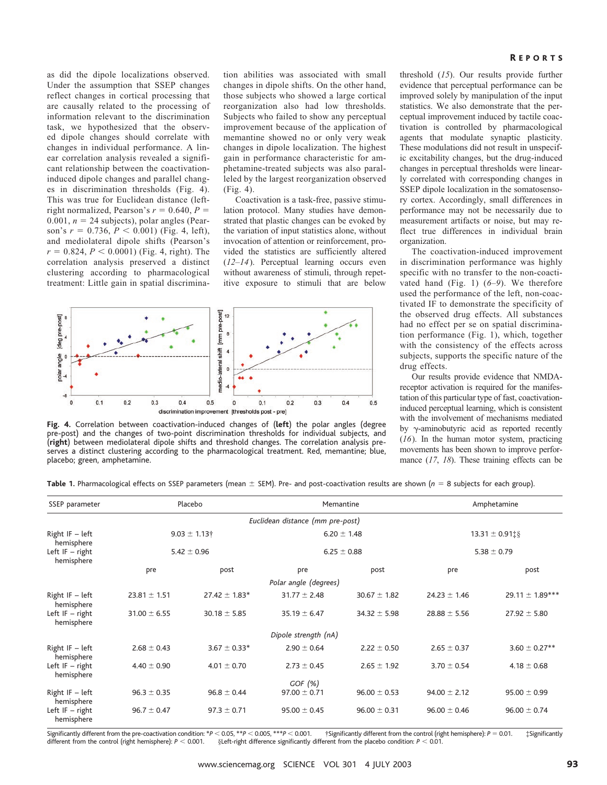as did the dipole localizations observed. Under the assumption that SSEP changes reflect changes in cortical processing that are causally related to the processing of information relevant to the discrimination task, we hypothesized that the observed dipole changes should correlate with changes in individual performance. A linear correlation analysis revealed a significant relationship between the coactivationinduced dipole changes and parallel changes in discrimination thresholds (Fig. 4). This was true for Euclidean distance (leftright normalized, Pearson's  $r = 0.640$ ,  $P =$ 0.001,  $n = 24$  subjects), polar angles (Pearson's  $r = 0.736$ ,  $P < 0.001$ ) (Fig. 4, left), and mediolateral dipole shifts (Pearson's  $r = 0.824, P < 0.0001$ ) (Fig. 4, right). The correlation analysis preserved a distinct clustering according to pharmacological treatment: Little gain in spatial discrimina-

tion abilities was associated with small changes in dipole shifts. On the other hand, those subjects who showed a large cortical reorganization also had low thresholds. Subjects who failed to show any perceptual improvement because of the application of memantine showed no or only very weak changes in dipole localization. The highest gain in performance characteristic for amphetamine-treated subjects was also paralleled by the largest reorganization observed (Fig. 4).

Coactivation is a task-free, passive stimulation protocol. Many studies have demonstrated that plastic changes can be evoked by the variation of input statistics alone, without invocation of attention or reinforcement, provided the statistics are sufficiently altered (*12*–*14*). Perceptual learning occurs even without awareness of stimuli, through repetitive exposure to stimuli that are below



**Fig. 4.** Correlation between coactivation-induced changes of (**left**) the polar angles (degree pre-post) and the changes of two-point discrimination thresholds for individual subjects, and (**right**) between mediolateral dipole shifts and threshold changes. The correlation analysis preserves a distinct clustering according to the pharmacological treatment. Red, memantine; blue, placebo; green, amphetamine.

R EPORTS

threshold (*15*). Our results provide further evidence that perceptual performance can be improved solely by manipulation of the input statistics. We also demonstrate that the perceptual improvement induced by tactile coactivation is controlled by pharmacological agents that modulate synaptic plasticity. These modulations did not result in unspecific excitability changes, but the drug-induced changes in perceptual thresholds were linearly correlated with corresponding changes in SSEP dipole localization in the somatosensory cortex. Accordingly, small differences in performance may not be necessarily due to measurement artifacts or noise, but may reflect true differences in individual brain organization.

The coactivation-induced improvement in discrimination performance was highly specific with no transfer to the non-coactivated hand (Fig. 1) (*6*–*9*). We therefore used the performance of the left, non-coactivated IF to demonstrate the specificity of the observed drug effects. All substances had no effect per se on spatial discrimination performance (Fig. 1), which, together with the consistency of the effects across subjects, supports the specific nature of the drug effects.

Our results provide evidence that NMDAreceptor activation is required for the manifestation of this particular type of fast, coactivationinduced perceptual learning, which is consistent with the involvement of mechanisms mediated by  $\gamma$ -aminobutyric acid as reported recently (*16*). In the human motor system, practicing movements has been shown to improve performance (*17*, *18*). These training effects can be

Table 1. Pharmacological effects on SSEP parameters (mean  $\pm$  SEM). Pre- and post-coactivation results are shown (*n* = 8 subjects for each group).

| SSEP parameter                  | Placebo                              |                   | Memantine                          |                  | Amphetamine                            |                     |
|---------------------------------|--------------------------------------|-------------------|------------------------------------|------------------|----------------------------------------|---------------------|
|                                 |                                      |                   | Euclidean distance (mm pre-post)   |                  |                                        |                     |
| Right IF $-$ left<br>hemisphere | $9.03 \pm 1.13$ †<br>$5.42 \pm 0.96$ |                   | $6.20 \pm 1.48$<br>$6.25 \pm 0.88$ |                  | $13.31 \pm 0.91$ t§<br>$5.38 \pm 0.79$ |                     |
| Left $IF - right$<br>hemisphere |                                      |                   |                                    |                  |                                        |                     |
|                                 | pre                                  | post              | pre                                | post             | pre                                    | post                |
|                                 |                                      |                   | Polar angle (degrees)              |                  |                                        |                     |
| Right $IF - left$<br>hemisphere | $23.81 \pm 1.51$                     | $27.42 \pm 1.83*$ | $31.77 \pm 2.48$                   | $30.67 \pm 1.82$ | $24.23 \pm 1.46$                       | 29.11 $\pm$ 1.89*** |
| Left $IF - right$<br>hemisphere | $31.00 \pm 6.55$                     | $30.18 \pm 5.85$  | $35.19 \pm 6.47$                   | $34.32 \pm 5.98$ | $28.88 \pm 5.56$                       | $27.92 \pm 5.80$    |
|                                 |                                      |                   | Dipole strength (nA)               |                  |                                        |                     |
| Right $IF - left$<br>hemisphere | $2.68 \pm 0.43$                      | $3.67 \pm 0.33*$  | $2.90 \pm 0.64$                    | $2.22 \pm 0.50$  | $2.65 \pm 0.37$                        | $3.60 \pm 0.27**$   |
| Left $IF - right$<br>hemisphere | $4.40 \pm 0.90$                      | $4.01 \pm 0.70$   | $2.73 \pm 0.45$                    | $2.65 \pm 1.92$  | $3.70 \pm 0.54$                        | $4.18 \pm 0.68$     |
|                                 |                                      |                   | GOF $(\%)$                         |                  |                                        |                     |
| Right $IF - left$<br>hemisphere | $96.3 \pm 0.35$                      | $96.8 \pm 0.44$   | $97.00 \pm 0.71$                   | $96.00 \pm 0.53$ | $94.00 \pm 2.12$                       | $95.00 \pm 0.99$    |
| Left $IF - right$<br>hemisphere | $96.7 \pm 0.47$                      | $97.3 \pm 0.71$   | $95.00 \pm 0.45$                   | $96.00 \pm 0.31$ | $96.00 \pm 0.46$                       | $96.00 \pm 0.74$    |

Significantly different from the pre-coactivation condition:  $*P < 0.05$ ,  $**P < 0.005$ ,  $***P <$  0.001. †Significantly different from the control (right hemisphere): *P* 0.01. ‡Significantly different from the control (right hemisphere):  $P < 0.001$ .  $<$  0.001.  $\qquad$  §Left-right difference significantly different from the placebo condition: *P*  $<$  0.01.